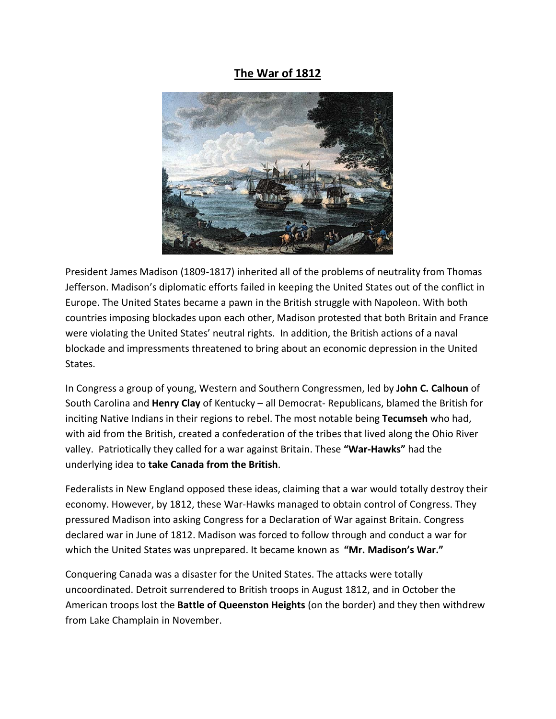## **The War of 1812**



President James Madison (1809-1817) inherited all of the problems of neutrality from Thomas Jefferson. Madison's diplomatic efforts failed in keeping the United States out of the conflict in Europe. The United States became a pawn in the British struggle with Napoleon. With both countries imposing blockades upon each other, Madison protested that both Britain and France were violating the United States' neutral rights. In addition, the British actions of a naval blockade and impressments threatened to bring about an economic depression in the United States.

In Congress a group of young, Western and Southern Congressmen, led by **John C. Calhoun** of South Carolina and **Henry Clay** of Kentucky – all Democrat- Republicans, blamed the British for inciting Native Indians in their regions to rebel. The most notable being **Tecumseh** who had, with aid from the British, created a confederation of the tribes that lived along the Ohio River valley. Patriotically they called for a war against Britain. These **"War-Hawks"** had the underlying idea to **take Canada from the British**.

Federalists in New England opposed these ideas, claiming that a war would totally destroy their economy. However, by 1812, these War-Hawks managed to obtain control of Congress. They pressured Madison into asking Congress for a Declaration of War against Britain. Congress declared war in June of 1812. Madison was forced to follow through and conduct a war for which the United States was unprepared. It became known as **"Mr. Madison's War."**

Conquering Canada was a disaster for the United States. The attacks were totally uncoordinated. Detroit surrendered to British troops in August 1812, and in October the American troops lost the **Battle of Queenston Heights** (on the border) and they then withdrew from Lake Champlain in November.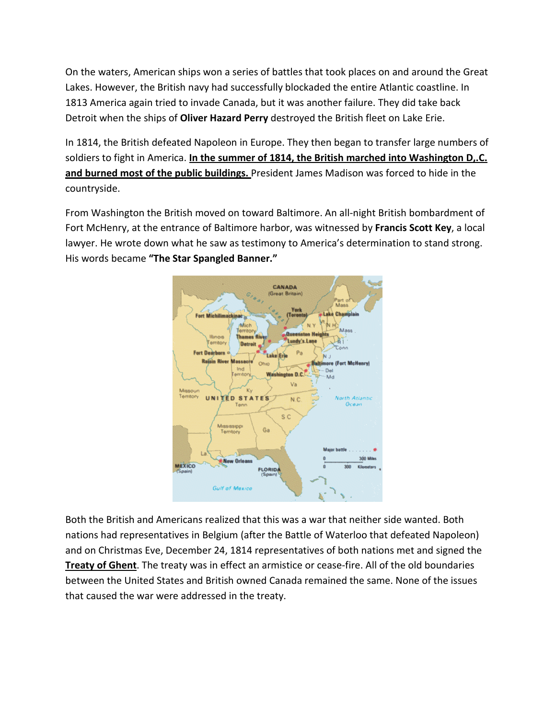On the waters, American ships won a series of battles that took places on and around the Great Lakes. However, the British navy had successfully blockaded the entire Atlantic coastline. In 1813 America again tried to invade Canada, but it was another failure. They did take back Detroit when the ships of **Oliver Hazard Perry** destroyed the British fleet on Lake Erie.

In 1814, the British defeated Napoleon in Europe. They then began to transfer large numbers of soldiers to fight in America. **In the summer of 1814, the British marched into Washington D,.C. and burned most of the public buildings.**  President James Madison was forced to hide in the countryside.

From Washington the British moved on toward Baltimore. An all-night British bombardment of Fort McHenry, at the entrance of Baltimore harbor, was witnessed by **Francis Scott Key**, a local lawyer. He wrote down what he saw as testimony to America's determination to stand strong. His words became **"The Star Spangled Banner."**



Both the British and Americans realized that this was a war that neither side wanted. Both nations had representatives in Belgium (after the Battle of Waterloo that defeated Napoleon) and on Christmas Eve, December 24, 1814 representatives of both nations met and signed the **Treaty of Ghent**. The treaty was in effect an armistice or cease-fire. All of the old boundaries between the United States and British owned Canada remained the same. None of the issues that caused the war were addressed in the treaty.